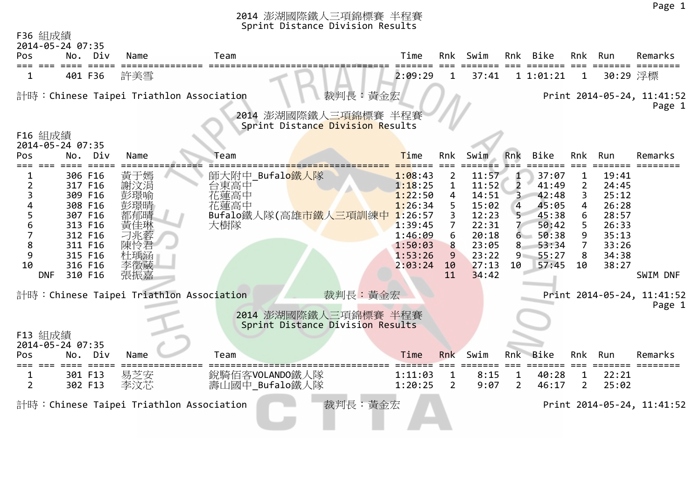| F36 組成績<br>2014-05-24 07:35                            |                                                                                                                       |                                                                                                                |                                                                                                             |                                                                                                            |                         |                                                                                                 |                                                        |                                                                                          |                                  |                                                                                        |                                                  |
|--------------------------------------------------------|-----------------------------------------------------------------------------------------------------------------------|----------------------------------------------------------------------------------------------------------------|-------------------------------------------------------------------------------------------------------------|------------------------------------------------------------------------------------------------------------|-------------------------|-------------------------------------------------------------------------------------------------|--------------------------------------------------------|------------------------------------------------------------------------------------------|----------------------------------|----------------------------------------------------------------------------------------|--------------------------------------------------|
| Pos                                                    | Div<br>No.                                                                                                            | Name                                                                                                           | Team                                                                                                        | Time                                                                                                       | Rnk                     | Swim                                                                                            |                                                        | Rnk Bike                                                                                 | Rnk                              | Run                                                                                    | Remarks                                          |
| 1.                                                     | 401 F36                                                                                                               | 許美雪                                                                                                            |                                                                                                             | 2:09:29                                                                                                    | 1                       | 37:41                                                                                           |                                                        | 11:01:21                                                                                 | 1                                | 30:29 浮標                                                                               |                                                  |
|                                                        |                                                                                                                       | 計時:Chinese Taipei Triathlon Association                                                                        | 裁判長:黃金宏<br>2014 澎湖國際鐵人三項錦標賽 半程賽                                                                             |                                                                                                            |                         |                                                                                                 |                                                        |                                                                                          |                                  |                                                                                        | Print 2014-05-24, 11:41:52<br>Page 1             |
| F16 組成績                                                |                                                                                                                       |                                                                                                                | Sprint Distance Division Results                                                                            |                                                                                                            |                         |                                                                                                 |                                                        |                                                                                          |                                  |                                                                                        |                                                  |
| 2014-05-24 07:35                                       |                                                                                                                       |                                                                                                                |                                                                                                             |                                                                                                            |                         |                                                                                                 |                                                        |                                                                                          |                                  |                                                                                        |                                                  |
| Pos                                                    | No.<br>Div                                                                                                            | Name                                                                                                           | Team                                                                                                        | <b>Time</b>                                                                                                | Rnk                     | Swim                                                                                            | Rnk                                                    | Bike                                                                                     | Rnk                              | Run                                                                                    | Remarks                                          |
| $\overline{2}$<br>3<br>6<br>8<br>9<br>10<br><b>DNF</b> | 306 F16<br>317 F16<br>309 F16<br>308 F16<br>307 F16<br>313 F16<br>312 F16<br>311 F16<br>315 F16<br>316 F16<br>310 F16 | 黃于嫣<br>謝汶涓<br>彭璟喻<br>彭璟晴<br>都郁晴<br>黃佳琳<br>刁兆蓉<br>杜瑀涵<br>李徵葳<br>張振嘉<br>計時: Chinese Taipei Triathlon Association | Bufalo鐵人隊<br>師大附中<br>台東高中<br>花蓮高中<br>花蓮高中<br>Bufalo鐵人隊(高雄市鐵人三項訓練中<br>大樹隊<br>裁判長:黃金宏<br>2014 澎湖國際鐵人三項錦標賽 半程賽 | 1:08:43<br>1:18:25<br>1:22:50<br>1:26:34<br>1:26:57<br>1:39:45<br>1:46:09<br>1:50:03<br>1:53:26<br>2:03:24 | 3<br>8<br>9<br>10<br>11 | 11:57<br>11:52<br>14:51<br>15:02<br>12:23<br>22:31<br>20:18<br>23:05<br>23:22<br>27:13<br>34:42 | $\overline{2}$<br>4<br>5 <sup>2</sup><br>8.<br>9<br>10 | 37:07<br>41:49<br>42:48<br>45:05<br>45:38<br>50:42<br>6 50:38<br>53:34<br>55:27<br>57:45 | 2<br>4<br>6<br>5<br>9<br>7<br>10 | 19:41<br>24:45<br>25:12<br>26:28<br>28:57<br>26:33<br>35:13<br>33:26<br>34:38<br>38:27 | SWIM DNF<br>Print 2014-05-24, 11:41:52<br>Page 1 |
|                                                        |                                                                                                                       |                                                                                                                | Sprint Distance Division Results                                                                            |                                                                                                            |                         |                                                                                                 |                                                        |                                                                                          |                                  |                                                                                        |                                                  |
| F13 組成績<br>Pos                                         | 2014-05-24 07:35<br>Div<br>No.                                                                                        | Name                                                                                                           | Team                                                                                                        | Time                                                                                                       | Rnk                     | Swim                                                                                            | Rnk                                                    | <b>Bike</b>                                                                              | Rnk                              | Run                                                                                    | Remarks                                          |
| $\overline{2}$                                         | 301 F13<br>302 F13                                                                                                    | 易芝安<br>李汶芯                                                                                                     | 銳騎佰客VOLANDO鐵人隊<br>壽山國中_Bufalo鐵人隊                                                                            | 1:11:03<br>1:20:25                                                                                         | 2                       | 8:15<br>9:07                                                                                    | 1<br>$\overline{2}$                                    | 40:28<br>46:17                                                                           | 1<br>2                           | 22:21<br>25:02                                                                         |                                                  |
|                                                        |                                                                                                                       | 計時:Chinese Taipei Triathlon Association                                                                        | 裁判長:黃金宏                                                                                                     |                                                                                                            |                         |                                                                                                 |                                                        |                                                                                          |                                  |                                                                                        | Print 2014-05-24, 11:41:52                       |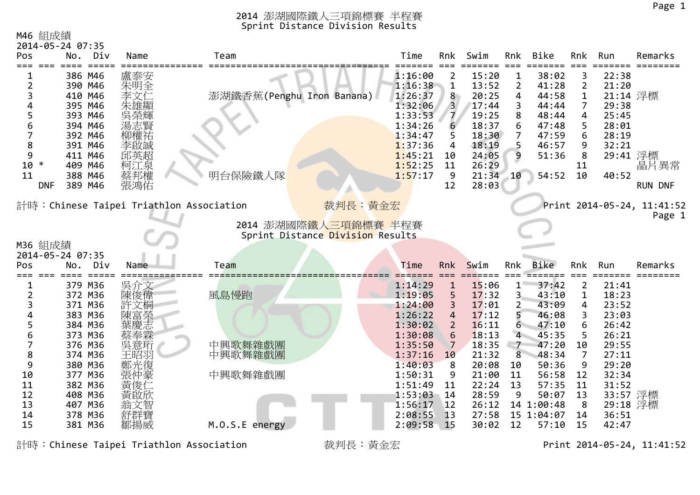#### M46 組成績

|            | 2014-05-24 07:35 |      |                                          |         |     |       |     |       |     |          |                            |
|------------|------------------|------|------------------------------------------|---------|-----|-------|-----|-------|-----|----------|----------------------------|
| Pos.       | Div<br>No.       | Name | Team                                     | Time    | Rnk | Swim  | Rnk | Bike  | Rnk | Run      | Remarks                    |
|            | 386 M46          | 盧泰安  |                                          | 1:16:00 |     | 15:20 |     | 38:02 |     | 22:38    |                            |
|            | 390 M46          | 朱明全  |                                          | 1:16:38 |     | 13:52 |     | 41:28 |     | 21:20    |                            |
|            | 410 M46          | 李文仁  | 澎湖鐵香蕉(Penghu Iron Banana)                | 1:26:37 | 8   | 20:25 | 4   | 44:58 |     | 21:14 浮標 |                            |
|            | 395 M46          | 朱雄顯  |                                          | 1:32:06 |     | 17:44 | 3   | 44:44 |     | 29:38    |                            |
|            | 393 M46          | 吳榮輝  |                                          | 1:33:53 |     | 19:25 | 8   | 48:44 | 4   | 25:45    |                            |
| 6          | 394 M46          | 湯志賢  |                                          | 1:34:26 |     | 18:37 | 6.  | 47:48 |     | 28:01    |                            |
|            | 392 M46          | 柳權祐  |                                          | 1:34:47 |     | 18:30 |     | 47:59 | 6   | 28:19    |                            |
| 8          | 391 M46          | 李啟誠  |                                          | 1:37:36 |     | 18:19 |     | 46:57 |     | 32:21    |                            |
| 9          | 411 M46          | 邱英超  |                                          | 1:45:21 | 10  | 24:05 | 9   | 51:36 | 8   | 29:41 浮標 |                            |
| 10<br>∗    | 409 M46          | 柯江泉  |                                          | 1:52:25 | 11  | 26:29 |     |       |     |          | 晶片異常                       |
| 11         | 388 M46          | 蔡邦權  | 明台保險鐵人隊                                  | 1:57:17 |     | 21:34 | 10  | 54:52 | 10  | 40:52    |                            |
| <b>DNF</b> | 389 M46          | 張鴻佑  |                                          |         | 12  | 28:03 |     |       |     |          | <b>RUN DNF</b>             |
|            |                  |      | 計時: Chinese Taipei Triathlon Association | 裁判長:黃金宏 |     |       |     |       |     |          | Print 2014-05-24, 11:41:52 |

Page 1



|            | M36 組成績          |         |
|------------|------------------|---------|
|            | 2014-05-24 07:35 |         |
| <b>Pos</b> |                  | No. Div |
|            |                  |         |

| Pos | Div<br>No. | Name | Team           | Time    | <b>Rnk</b>    | Swim  | Rnk | Bike       | Rnk | Run      | Remarks |
|-----|------------|------|----------------|---------|---------------|-------|-----|------------|-----|----------|---------|
|     | 379 M36    | 吳介文  |                | 1:14:29 |               | 15:06 |     | 37:42      | 2   | 21:41    |         |
|     | 372 M36    | 陳俊偉  | 風島慢跑           | 1:19:05 |               | 17:32 |     | 43:10      |     | 18:23    |         |
|     | 371 M36    | 許文桐  |                | 1:24:00 |               | 17:01 |     | 43:09      | 4   | 23:52    |         |
|     | 383 M36    | 陳富榮  |                | 1:26:22 | 4             | 17:12 |     | 46:08      |     | 23:03    |         |
|     | 384 M36    | 葉慶志  |                | 1:30:02 |               | 16:11 | 6   | 47:10      | 6.  | 26:42    |         |
|     | 373 M36    | 蔡奉霖  |                | 1:30:08 | 6             | 18:13 | 4   | 45:35      |     | 26:21    |         |
|     | 376 M36    | 吳意珩  | 中興歌舞雜戲團        | 1:35:50 |               | 18:35 |     | 47:20      | 10  | 29:55    |         |
|     | 374 M36    | 王昭羽  | 中興歌舞雜戲團        | 1:37:16 | 10            | 21:32 | 8   | 48:34      |     | 27:11    |         |
|     | 380 M36    | 鄭光復  |                | 1:40:03 | 8             | 20:08 | 10  | 50:36      | 9   | 29:20    |         |
| 10  | 377 M36    | 張仲豪  | 中興歌舞雜戲團        | 1:50:31 | 9             | 21:00 | -11 | 56:58      | 12  | 32:34    |         |
| 11  | 382 M36    | 黃俊仁  |                | 1:51:49 | -11           | 22:24 | 13  | 57:35      | 11  | 31:52    |         |
| 12  | 408 M36    | 黃啟欣  |                | 1:53:03 | 14            | 28:59 | 9   | 50:07      | 13  | 33:57 浮標 |         |
| 13  | 407 M36    | 翁文智  |                | 1:56:17 | 12            | 26:12 |     | 14 1:00:48 | 8   | 29:18 浮標 |         |
| 14  | 378 M36    | 舒群寶  |                | 2:08:55 | -13           | 27:58 |     | 15 1:04:07 | 14  | 36:51    |         |
| 15  | 381 M36    | 鄒揚威  | M.O.S.E energy | 2:09:58 | $^{\circ}$ 15 | 30:02 | 12  | 57:10      | 15  | 42:47    |         |

計時:Chinese Taipei Triathlon Association 裁判長:黃金宏 Print 2014-05-24, 11:41:52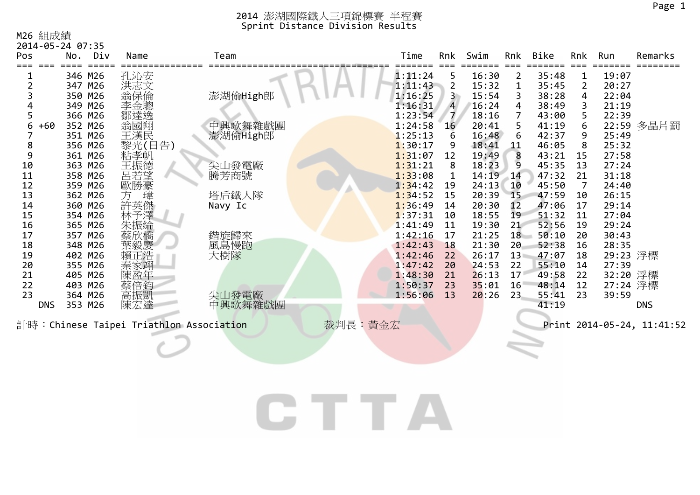M26 組成績

|            | 2014-05-24 07:35 |            |                                         |         |         |                |       |                |       |     |          |                            |
|------------|------------------|------------|-----------------------------------------|---------|---------|----------------|-------|----------------|-------|-----|----------|----------------------------|
| <b>Pos</b> | No.<br>Div       | Name       | Team                                    |         | Time    | Rnk            | Swim  | Rnk            | Bike  | Rnk | Run      | Remarks                    |
|            |                  |            |                                         |         |         |                |       |                |       |     |          |                            |
|            | 346 M26          | 孔沁安        |                                         |         | 1:11:24 | 5              | 16:30 | $\overline{2}$ | 35:48 | 1   | 19:07    |                            |
|            | 347 M26          | 洪志文        |                                         |         | 1:11:43 | 2              | 15:32 | 1              | 35:45 |     | 20:27    |                            |
|            | 350 M26          | 翁保倫        | 澎湖偷High郎                                |         | 1:16:25 | 3.             | 15:54 | 3              | 38:28 | 4   | 22:04    |                            |
|            | 349 M26          | 李金聰        |                                         |         | 1:16:31 | $\overline{4}$ | 16:24 | 4              | 38:49 |     | 21:19    |                            |
|            | 366 M26          | 鄒達逸<br>翁國翔 |                                         |         | 1:23:54 | 7              | 18:16 | 7              | 43:00 |     | 22:39    |                            |
| 6<br>+60   | 352 M26          |            | 中興歌舞雜戲團                                 |         | 1:24:58 | 16             | 20:41 | 5              | 41:19 |     |          | 22:59 多晶片罰                 |
|            | 351 M26          | 王漢民        | 澎湖偷High郎                                |         | 1:25:13 |                | 16:48 | 6              | 42:37 | 9   | 25:49    |                            |
| 8          | 356 M26          | 黎光(日告)     |                                         |         | 1:30:17 |                | 18:41 | 11             | 46:05 | 8   | 25:32    |                            |
| 9          | 361 M26          | 粘孝帆        |                                         |         | 1:31:07 | 12             | 19:49 | 8              | 43:21 | 15  | 27:58    |                            |
| 10         | 363 M26          | 王振德<br>呂若望 | 尖山發電廠                                   |         | 1:31:21 | 8              | 18:23 | 9              | 45:35 | 13  | 27:24    |                            |
| 11         | 358 M26          |            | 騰芳商號                                    |         | 1:33:08 |                | 14:19 | $-14$          | 47:32 | 21  | 31:18    |                            |
| 12         | 359 M26          | 歐勝豪        |                                         |         | 1:34:42 | 19             | 24:13 | 10             | 45:50 |     | 24:40    |                            |
| 13         | 362 M26          | 方<br>瑋     | 塔后鐵人隊                                   |         | 1:34:52 | 15             | 20:39 | 15             | 47:59 | 10  | 26:15    |                            |
| 14         | 360 M26          | 許英傑        | Navy Ic                                 |         | 1:36:49 | 14             | 20:30 | 12             | 47:06 | 17  | 29:14    |                            |
| 15         | 354 M26          | 林予澤<br>朱振綸 |                                         |         | 1:37:31 | 10             | 18:55 | 19             | 51:32 | 11  | 27:04    |                            |
| 16         | 365 M26          |            |                                         |         | 1:41:49 | 11             | 19:30 | 21             | 52:56 | 19  | 29:24    |                            |
| 17         | 357 M26          | 蔡欣橋        | 鍇旋歸來                                    |         | 1:42:16 | 17             | 21:25 | 18             | 50:10 | 20  | 30:43    |                            |
| 18         | 348 M26          | 葉毅慶<br>賴正浩 | 風島慢跑                                    |         | 1:42:43 | 18             | 21:30 | 20             | 52:38 | 16  | 28:35    |                            |
| 19         | 402 M26          |            | 大樹隊                                     |         | 1:42:46 | 22             | 26:17 | 13             | 47:07 | 18  | 29:23 浮標 |                            |
| 20         | 355 M26          | 秦家翊        |                                         |         | 1:47:42 | 20             | 24:53 | 22             | 55:10 | 14  | 27:39    |                            |
| 21         | 405 M26          | 陳盈年        |                                         |         | 1:48:30 | 21             | 26:13 | 17             | 49:58 | 22  | 32:20 浮標 |                            |
| 22         | 403 M26          | 蔡倍鈞        |                                         |         | 1:50:37 | 23             | 35:01 | 16             | 48:14 | 12  | 27:24 浮標 |                            |
| 23         | 364 M26          | 高振凱        | 尖山發電廠                                   |         | 1:56:06 | 13             | 20:26 | 23             | 55:41 | 23  | 39:59    |                            |
| <b>DNS</b> | 353 M26          | 陳宏達        | 中興歌舞雜戲團                                 |         |         |                |       |                | 41:19 |     |          | <b>DNS</b>                 |
|            |                  |            | 計時:Chinese Taipei Triathlon Association | 裁判長:黃金宏 |         |                |       |                |       |     |          | Print 2014-05-24, 11:41:52 |
|            |                  |            |                                         |         |         |                |       |                |       |     |          |                            |
|            |                  |            |                                         |         |         |                |       |                |       |     |          |                            |
|            |                  |            |                                         |         |         |                |       |                |       |     |          |                            |

# CTTA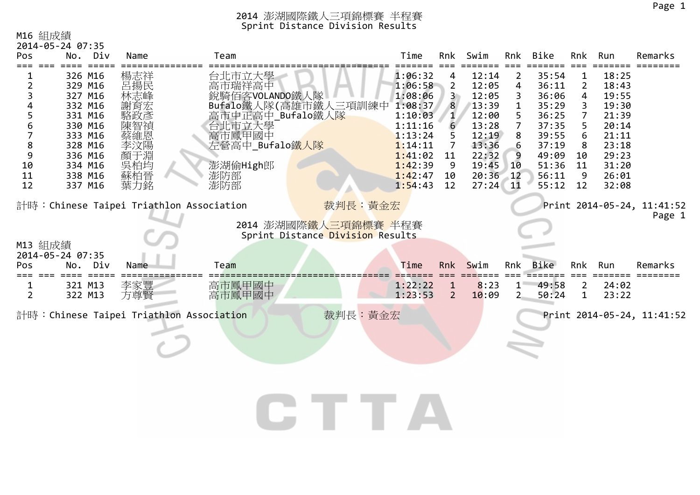# M16 組成績

|         | 2014-05-24 07:35   |            |                                         |                                  |                |                |                |                |         |                |                            |
|---------|--------------------|------------|-----------------------------------------|----------------------------------|----------------|----------------|----------------|----------------|---------|----------------|----------------------------|
| Pos     | No.<br>Div         | Name       | Team                                    | Time                             | Rnk            | Swim           |                | Rnk Bike       | Rnk     | Run            | Remarks                    |
|         | 326 M16            | 楊志祥        | 台北市立大學                                  | 1:06:32                          |                | 12:14          | 2              | 35:54          | 1       | 18:25          |                            |
| 2       | 329 M16            | 呂揚民        | 高市瑞祥高中                                  | 1:06:58                          | 2              | 12:05          | 4              | 36:11          | 2       | 18:43          |                            |
| 3       | 327 M16            | 林志峰        | 銳騎佰客VOLANDO鐵人隊                          | 1:08:06                          |                | 12:05          | 3              | 36:06          | 4       | 19:55          |                            |
| 4       | 332 M16            | 謝育宏        | Bufalo鐵人隊(高雄市鐵人三項訓練中                    | 1:08:37                          | 8              | 13:39          | 1              | 35:29          | 3       | 19:30          |                            |
| 5       | 331 M16            | 駱政彥        | 高市中正高中_Bufalo鐵人隊                        | 1:10:03                          | $\mathbf{1}$   | 12:00          | 5              | 36:25          |         | 21:39          |                            |
| 6       | 330 M16            | 陳智禎        | 台北市立大學<br>高市鳳甲國中                        | 1:11:16                          | 6              | 13:28          | $\overline{7}$ | 37:35          |         | 20:14          |                            |
| 7       | 333 M16            | 蔡維恩        |                                         | 1:13:24                          |                | 12:19          | 8              | 39:55          | 6       | 21:11          |                            |
| 8<br>9  | 328 M16<br>336 M16 | 李汶陽<br>顏于淵 | 左營高中_Bufalo鐵人隊                          | 1:14:11<br>1:41:02               | 11             | 13:36<br>22:32 | 6<br>9         | 37:19<br>49:09 | 8<br>10 | 23:18<br>29:23 |                            |
| 10      | 334 M16            | 吳柏均        | 澎湖偷High郎                                | 1:42:39                          | 9              | 19:45          | 10             | 51:36          | 11      | 31:20          |                            |
| 11      | 338 M16            |            | 澎防部                                     | 1:42:47                          | 10             | 20:36          | $-12$          | 56:11          | 9       | 26:01          |                            |
| 12      | 337 M16            | 蘇柏晉<br>葉力銘 | 澎防部                                     | 1:54:43                          | 12             | 27:24          | 11             | 55:12          | 12      | 32:08          |                            |
|         |                    |            |                                         |                                  |                |                |                |                |         |                |                            |
|         |                    |            | 計時:Chinese Taipei Triathlon Association | 裁判長:黃金宏                          |                |                |                |                |         |                | Print 2014-05-24, 11:41:52 |
|         |                    |            |                                         | 2014 澎湖國際鐵人三項錦標賽 半程賽             |                |                |                |                |         |                | Page 1                     |
|         |                    |            |                                         | Sprint Distance Division Results |                |                |                |                |         |                |                            |
| M13 組成績 |                    |            |                                         |                                  |                |                |                |                |         |                |                            |
|         | 2014-05-24 07:35   |            |                                         |                                  |                |                |                |                |         |                |                            |
| Pos     | No.<br>Div         | Name       | Team                                    | Time                             | Rnk            | Swim           | Rnk            | <b>Bike</b>    | Rnk     | Run            | Remarks                    |
| === === |                    |            |                                         |                                  |                |                |                |                |         |                |                            |
| 1<br>2  | 321 M13<br>322 M13 | 李家豐<br>方尊賢 | 高市鳳甲國中<br>高市鳳甲國中                        | 1:22:22<br>1:23:53               | $\overline{2}$ | 8:23<br>10:09  | $1 -$<br>$2 -$ | 49:58<br>50:24 | 2<br>1  | 24:02<br>23:22 |                            |
|         |                    |            |                                         |                                  |                |                |                |                |         |                |                            |
|         |                    |            | 計時:Chinese Taipei Triathlon Association | 裁判長:黃金宏                          |                |                |                |                |         |                | Print 2014-05-24, 11:41:52 |
|         |                    |            |                                         |                                  |                |                |                |                |         |                |                            |
|         |                    |            |                                         |                                  |                |                |                |                |         |                |                            |
|         |                    |            |                                         |                                  |                |                |                |                |         |                |                            |
|         |                    |            |                                         |                                  |                |                |                |                |         |                |                            |
|         |                    |            |                                         |                                  |                |                |                |                |         |                |                            |
|         |                    |            |                                         |                                  |                |                |                |                |         |                |                            |
|         |                    |            |                                         |                                  |                |                |                |                |         |                |                            |
|         |                    |            |                                         |                                  |                |                |                |                |         |                |                            |
|         |                    |            |                                         |                                  |                |                |                |                |         |                |                            |
|         |                    |            |                                         |                                  |                |                |                |                |         |                |                            |
|         |                    |            |                                         |                                  |                |                |                |                |         |                |                            |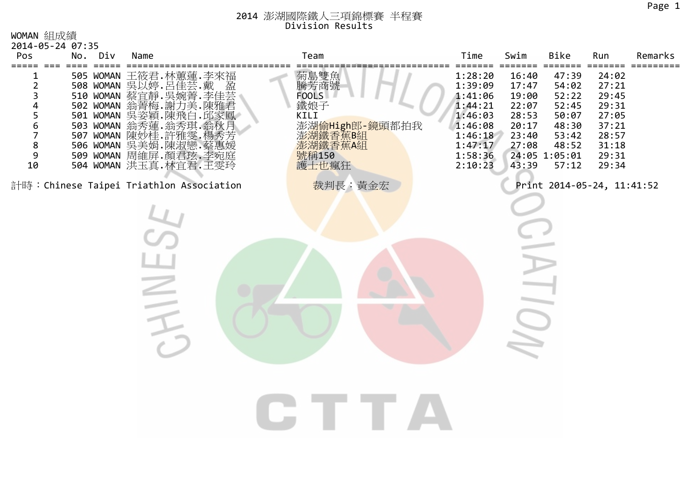# 2014 澎湖國際鐵人三項錦標賽 半程賽 Division Results

WOMAN 組成績

| 2014-05-24 07:35<br>Pos                                             | No.             | Div | Name                                                                                                                                                                                                                                      | Team                                                                                           | Time                                                                                                       | Swim                                                                          | Bike                                                                                           | Run                                                                                           | Remarks |
|---------------------------------------------------------------------|-----------------|-----|-------------------------------------------------------------------------------------------------------------------------------------------------------------------------------------------------------------------------------------------|------------------------------------------------------------------------------------------------|------------------------------------------------------------------------------------------------------------|-------------------------------------------------------------------------------|------------------------------------------------------------------------------------------------|-----------------------------------------------------------------------------------------------|---------|
| =====<br>$==$<br>$\overline{2}$<br>3<br>4<br>5<br>6<br>8<br>9<br>10 | $=$ $=$ $=$ $=$ |     | 505 WOMAN 王筱君.林蕙蓮.李來福<br>508 WOMAN 冥以婷.呂佳芸.戴<br>510 WOMAN 蔡宜靜.吳婉菁.李佳芸<br>502 WOMAN 翁菁梅.謝力美.陳雅君<br>501 WOMAN 吴姿穎.陳飛白<br>503 WOMAN 翁秀蓮.翁秀琪<br>507 WOMAN 陳妙桂·許雅雯.<br>506 WOMAN 冥美娟.陳淑戀.蔡惠媛<br>509 WOMAN 周維屏.顏君玹.李宛庭<br>504 WOMAN 洪玉真.林宜君.王雯玲 | 菊島雙魚<br>騰芳商號<br>FOOLS<br>鐵娘子<br>KILI<br>澎湖偷High郎-鏡頭都拍我<br>彭湖鐵香蕉B組<br>澎湖鐵香蕉A組<br>號稱150<br>護士也瘋狂 | 1:28:20<br>1:39:09<br>1:41:06<br>1:44:21<br>1:46:03<br>1:46:08<br>1:46:18<br>1:47:17<br>1:58:36<br>2:10:23 | 16:40<br>17:47<br>19:00<br>22:07<br>28:53<br>20:17<br>23:40<br>27:08<br>43:39 | 47:39<br>54:02<br>52:22<br>52:45<br>50:07<br>48:30<br>53:42<br>48:52<br>24:05 1:05:01<br>57:12 | ===<br>24:02<br>27:21<br>29:45<br>29:31<br>27:05<br>37:21<br>28:57<br>31:18<br>29:31<br>29:34 | $====$  |
|                                                                     |                 |     | 計時: Chinese Taipei Triathlon Association                                                                                                                                                                                                  | 裁判長:黃金宏                                                                                        |                                                                                                            |                                                                               | Print 2014-05-24, 11:41:52                                                                     |                                                                                               |         |
|                                                                     |                 |     |                                                                                                                                                                                                                                           |                                                                                                |                                                                                                            |                                                                               |                                                                                                |                                                                                               |         |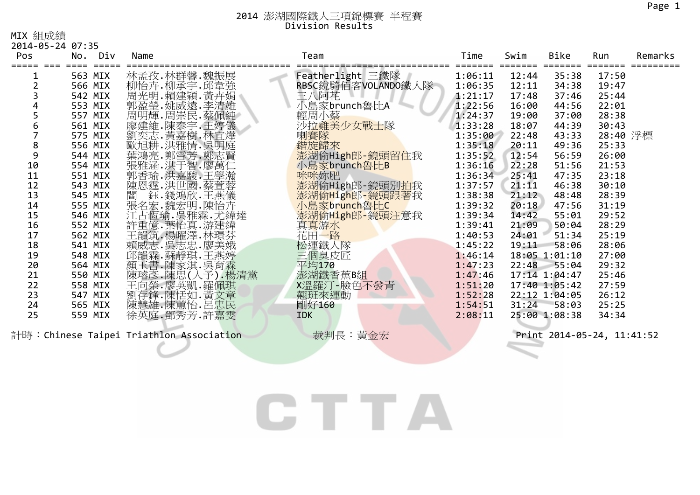#### 2014 澎湖國際鐵人三項錦標賽 半程賽 Division Results

24

25

| MIX 組成績                 |         |         |                                            |                    |         |       |               |          |         |
|-------------------------|---------|---------|--------------------------------------------|--------------------|---------|-------|---------------|----------|---------|
| 2014-05-24 07:35<br>Pos |         | No. Div | Name                                       | Team               | Time    | Swim  | Bike          | Run      | Remarks |
|                         |         |         |                                            |                    |         |       |               |          |         |
| 1                       | 563 MIX |         | 林孟孜.林群馨.魏振展                                | Featherlight 三鐵隊   | 1:06:11 | 12:44 | 35:38         | 17:50    |         |
|                         | 566 MIX |         | 柳怡卉.柳承宇.邱韋強                                | RBSC銳騎佰客VOLANDO鐵人隊 | 1:06:35 | 12:11 | 34:38         | 19:47    |         |
| 3                       | 542 MIX |         | 周光明.賴建穎.黃卉娟                                | 三八阿花               | 1:21:17 | 17:48 | 37:46         | 25:44    |         |
|                         | 553 MIX |         | 郭盈瑩 姚威遠 季清雄<br>周明輝 周崇民 蔡佩純                 | 小島家brunch魯比A       | 1:22:56 | 16:00 | 44:56         | 22:01    |         |
|                         | 557 MIX |         |                                            | 輕周小蔡               | 1:24:37 | 19:00 | 37:00         | 28:38    |         |
| 6                       | 561 MIX |         | 廖建維.陳泰宇.王婷儀<br>劉奕志.黃嘉樹.林宜燁                 | 沙拉雞美少女戰士隊          | 1:33:28 | 18:07 | 44:39         | 30:43    |         |
|                         | 575 MIX |         |                                            | 喇賽隊                | 1:35:00 | 22:48 | 43:33         | 28:40 浮標 |         |
| 8                       | 556 MIX |         | 歐旭耕.洪雅情.吳明庭                                | 鍇旋歸來               | 1:35:18 | 20:11 | 49:36         | 25:33    |         |
| 9                       | 544 MIX |         | 葉鴻亮.鄭雪芳.鄭志賢<br>張雅涵.洪于智·廖萬仁                 | 澎湖偷High郎-鏡頭留住我     | 1:35:52 | 12:54 | 56:59         | 26:00    |         |
| 10                      | 554 MIX |         |                                            | 小島家brunch魯比B       | 1:36:16 | 22:28 | 51:56         | 21:53    |         |
| 11                      | 551 MIX |         | 郭香瑜.洪嘉駿.王學瀚                                | 咪咪妳肥               | 1:36:34 | 25:41 | 47:35         | 23:18    |         |
| 12                      | 543 MIX |         | 陳恩霆.洪世國.蔡萱蓉                                | 澎湖偷High郎-鏡頭別拍我     | 1:37:57 | 21:11 | 46:38         | 30:10    |         |
| 13                      | 545 MIX |         | 閻 鈺.錢鴻欣.王燕儀                                | 澎湖偷High郎-鏡頭跟著我     | 1:38:38 | 21:12 | 48:48         | 28:39    |         |
| 14                      | 555 MIX |         | 張名宏.魏宏明.陳怡卉                                | 小島家brunch魯比C       | 1:39:32 | 20:18 | 47:56         | 31:19    |         |
| 15                      | 546 MIX |         | 江古恆瑜. 吳雅霖. 尤緯達                             | 澎湖偷High郎-鏡頭注意我     | 1:39:34 | 14:42 | 55:01         | 29:52    |         |
| 16                      | 552 MIX |         | 許重億.葉怡真.游建緯                                | 真真游水               | 1:39:41 | 21:09 | 50:04         | 28:29    |         |
| 17                      | 562 MIX |         | 三、楊成志·吳志·廖美娥<br>賴威志·吳志志·廖美娥<br>邱韻霖·蘇靜琪·王燕婷 | 花田一路               | 1:40:53 | 24:01 | 51:34         | 25:19    |         |
| 18                      | 541 MIX |         |                                            | 松運鐵人隊              | 1:45:22 | 19:11 | 58:06         | 28:06    |         |
| 19                      | 548 MIX |         |                                            | 三個臭皮匠              | 1:46:14 |       | 18:05 1:01:10 | 27:00    |         |
| 20                      | 564 MIX |         | 顏玉書.陳家淇.吳育霖                                | 平均170              | 1:47:23 | 22:48 | 55:04         | 29:32    |         |
| 21                      | 550 MIX |         | 陳璿彥.陳思(人予).楊清黨                             | 澎湖鐵香蕉B組            | 1:47:46 |       | 17:14 1:04:47 | 25:46    |         |
| 22                      | 558 MIX |         | 王向榮.廖英凱.羅佩琪                                | X溫羅汀-臉色不發青         | 1:51:20 |       | 17:40 1:05:42 | 27:59    |         |
| 23                      | 547 MIX |         | 劉存鋒.陳恬如.黃文章                                | 翹班來運動              | 1:52:28 |       | 22:12 1:04:05 | 26:12    |         |

計時:Chinese Taipei Triathlon Association 裁判長:黃金宏 Print <sup>2014</sup>‐05‐24, 11:41:52

<sup>565</sup> MIX 陳慧雄.陳蕙怡.呂忠民 剛好<sup>160</sup> 1:54:51 31:24 58:03 25:25

<sup>559</sup> MIX 徐英庭.鄧秀芳.許嘉雯 IDK 2:08:11 25:00 1:08:38 34:34

CTTA